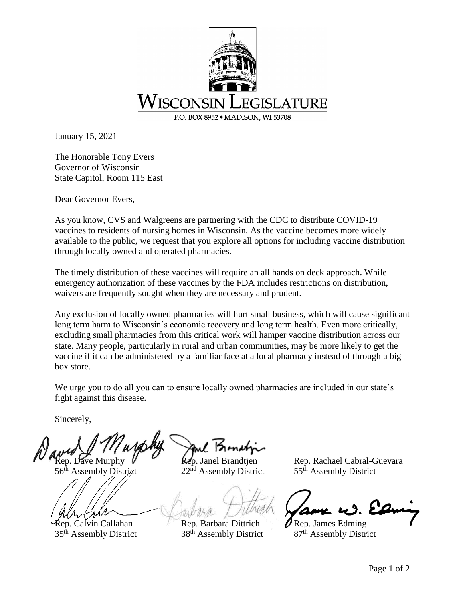

January 15, 2021

The Honorable Tony Evers Governor of Wisconsin State Capitol, Room 115 East

Dear Governor Evers,

As you know, CVS and Walgreens are partnering with the CDC to distribute COVID-19 vaccines to residents of nursing homes in Wisconsin. As the vaccine becomes more widely available to the public, we request that you explore all options for including vaccine distribution through locally owned and operated pharmacies.

The timely distribution of these vaccines will require an all hands on deck approach. While emergency authorization of these vaccines by the FDA includes restrictions on distribution, waivers are frequently sought when they are necessary and prudent.

Any exclusion of locally owned pharmacies will hurt small business, which will cause significant long term harm to Wisconsin's economic recovery and long term health. Even more critically, excluding small pharmacies from this critical work will hamper vaccine distribution across our state. Many people, particularly in rural and urban communities, may be more likely to get the vaccine if it can be administered by a familiar face at a local pharmacy instead of through a big box store.

We urge you to do all you can to ensure locally owned pharmacies are included in our state's fight against this disease.

Sincerely,

 $\mathsf{Rep}$ . Calvin Callahan Rep. Barbara Dittrich Rep. James Edming

Rep. Dave Murphy  $\mathcal{U}$  Rep. Janel Brandtjen Rep. Rachael Cabral-Guevara<br>56<sup>th</sup> Assembly District 22<sup>nd</sup> Assembly District 55<sup>th</sup> Assembly District 56<sup>th</sup> Assembly District 22<sup>nd</sup> Assembly District 55<sup>th</sup> Assembly District

 $35<sup>th</sup>$  Assembly District  $38<sup>th</sup>$  Assembly District  $87<sup>th</sup>$  Assembly District